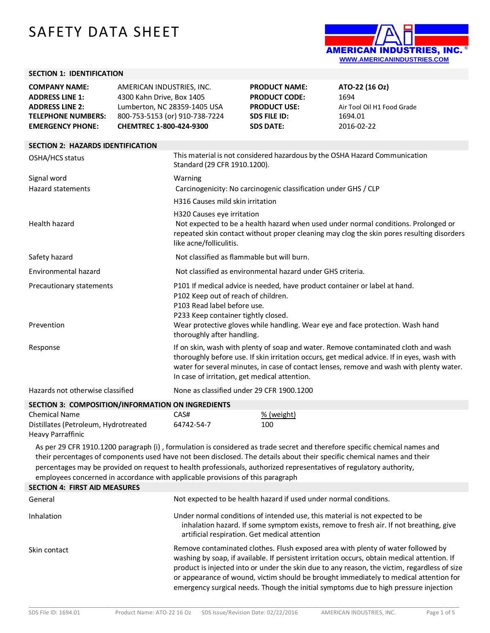# SAFETY DATA SHEET



# **SECTION 1: IDENTIFICATION**

| <b>COMPANY NAME:</b>      | AMERICAN INDUSTRIES. INC.      | <b>PRODUCT NAME:</b> | ATO-22 (16 Oz)             |
|---------------------------|--------------------------------|----------------------|----------------------------|
| <b>ADDRESS LINE 1:</b>    | 4300 Kahn Drive, Box 1405      | <b>PRODUCT CODE:</b> | 1694                       |
| <b>ADDRESS LINE 2:</b>    | Lumberton, NC 28359-1405 USA   | <b>PRODUCT USE:</b>  | Air Tool Oil H1 Food Grade |
| <b>TELEPHONE NUMBERS:</b> | 800-753-5153 (or) 910-738-7224 | SDS FILE ID:         | 1694.01                    |
| <b>EMERGENCY PHONE:</b>   | <b>CHEMTREC 1-800-424-9300</b> | <b>SDS DATE:</b>     | 2016-02-22                 |

| <b>SECTION 2: HAZARDS IDENTIFICATION</b> |  |
|------------------------------------------|--|
|                                          |  |

| OSHA/HCS status                  | This material is not considered hazardous by the OSHA Hazard Communication<br>Standard (29 CFR 1910.1200).                                                                                                                                                                                                                     |
|----------------------------------|--------------------------------------------------------------------------------------------------------------------------------------------------------------------------------------------------------------------------------------------------------------------------------------------------------------------------------|
| Signal word                      | Warning                                                                                                                                                                                                                                                                                                                        |
| Hazard statements                | Carcinogenicity: No carcinogenic classification under GHS / CLP                                                                                                                                                                                                                                                                |
|                                  | H316 Causes mild skin irritation                                                                                                                                                                                                                                                                                               |
| Health hazard                    | H320 Causes eye irritation<br>Not expected to be a health hazard when used under normal conditions. Prolonged or<br>repeated skin contact without proper cleaning may clog the skin pores resulting disorders<br>like acne/folliculitis.                                                                                       |
| Safety hazard                    | Not classified as flammable but will burn.                                                                                                                                                                                                                                                                                     |
| Environmental hazard             | Not classified as environmental hazard under GHS criteria.                                                                                                                                                                                                                                                                     |
| Precautionary statements         | P101 If medical advice is needed, have product container or label at hand.<br>P102 Keep out of reach of children.<br>P103 Read label before use.<br>P233 Keep container tightly closed.                                                                                                                                        |
| Prevention                       | Wear protective gloves while handling. Wear eye and face protection. Wash hand<br>thoroughly after handling.                                                                                                                                                                                                                   |
| Response                         | If on skin, wash with plenty of soap and water. Remove contaminated cloth and wash<br>thoroughly before use. If skin irritation occurs, get medical advice. If in eyes, wash with<br>water for several minutes, in case of contact lenses, remove and wash with plenty water.<br>In case of irritation, get medical attention. |
| Hazards not otherwise classified | None as classified under 29 CFR 1900.1200                                                                                                                                                                                                                                                                                      |
|                                  |                                                                                                                                                                                                                                                                                                                                |

| SECTION 3: COMPOSITION/INFORMATION ON INGREDIENTS |            |            |
|---------------------------------------------------|------------|------------|
| Chemical Name                                     | CAS#       | % (weight) |
| Distillates (Petroleum, Hydrotreated              | 64742-54-7 | 100        |
| Heavy Parraffinic                                 |            |            |

As per 29 CFR 1910.1200 paragraph (i) , formulation is considered as trade secret and therefore specific chemical names and their percentages of components used have not been disclosed. The details about their specific chemical names and their percentages may be provided on request to health professionals, authorized representatives of regulatory authority, employees concerned in accordance with applicable provisions of this paragraph

| <b>SECTION 4: FIRST AID MEASURES</b> |                                                                                                                                                                                                                                                                                                                                                                                                                                                                   |
|--------------------------------------|-------------------------------------------------------------------------------------------------------------------------------------------------------------------------------------------------------------------------------------------------------------------------------------------------------------------------------------------------------------------------------------------------------------------------------------------------------------------|
| General                              | Not expected to be health hazard if used under normal conditions.                                                                                                                                                                                                                                                                                                                                                                                                 |
| Inhalation                           | Under normal conditions of intended use, this material is not expected to be<br>inhalation hazard. If some symptom exists, remove to fresh air. If not breathing, give<br>artificial respiration. Get medical attention                                                                                                                                                                                                                                           |
| Skin contact                         | Remove contaminated clothes. Flush exposed area with plenty of water followed by<br>washing by soap, if available. If persistent irritation occurs, obtain medical attention. If<br>product is injected into or under the skin due to any reason, the victim, regardless of size<br>or appearance of wound, victim should be brought immediately to medical attention for<br>emergency surgical needs. Though the initial symptoms due to high pressure injection |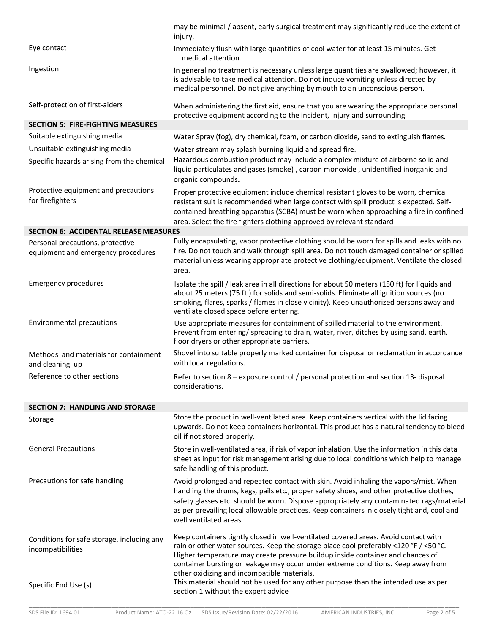|                                                                        | may be minimal / absent, early surgical treatment may significantly reduce the extent of<br>injury.                                                                                                                                                                                                                                                                                                   |
|------------------------------------------------------------------------|-------------------------------------------------------------------------------------------------------------------------------------------------------------------------------------------------------------------------------------------------------------------------------------------------------------------------------------------------------------------------------------------------------|
| Eye contact                                                            | Immediately flush with large quantities of cool water for at least 15 minutes. Get<br>medical attention.                                                                                                                                                                                                                                                                                              |
| Ingestion                                                              | In general no treatment is necessary unless large quantities are swallowed; however, it<br>is advisable to take medical attention. Do not induce vomiting unless directed by<br>medical personnel. Do not give anything by mouth to an unconscious person.                                                                                                                                            |
| Self-protection of first-aiders                                        | When administering the first aid, ensure that you are wearing the appropriate personal<br>protective equipment according to the incident, injury and surrounding                                                                                                                                                                                                                                      |
| <b>SECTION 5: FIRE-FIGHTING MEASURES</b>                               |                                                                                                                                                                                                                                                                                                                                                                                                       |
| Suitable extinguishing media                                           | Water Spray (fog), dry chemical, foam, or carbon dioxide, sand to extinguish flames.                                                                                                                                                                                                                                                                                                                  |
| Unsuitable extinguishing media                                         | Water stream may splash burning liquid and spread fire.                                                                                                                                                                                                                                                                                                                                               |
| Specific hazards arising from the chemical                             | Hazardous combustion product may include a complex mixture of airborne solid and<br>liquid particulates and gases (smoke), carbon monoxide, unidentified inorganic and<br>organic compounds.                                                                                                                                                                                                          |
| Protective equipment and precautions<br>for firefighters               | Proper protective equipment include chemical resistant gloves to be worn, chemical<br>resistant suit is recommended when large contact with spill product is expected. Self-<br>contained breathing apparatus (SCBA) must be worn when approaching a fire in confined<br>area. Select the fire fighters clothing approved by relevant standard                                                        |
| <b>SECTION 6: ACCIDENTAL RELEASE MEASURES</b>                          |                                                                                                                                                                                                                                                                                                                                                                                                       |
| Personal precautions, protective<br>equipment and emergency procedures | Fully encapsulating, vapor protective clothing should be worn for spills and leaks with no<br>fire. Do not touch and walk through spill area. Do not touch damaged container or spilled<br>material unless wearing appropriate protective clothing/equipment. Ventilate the closed<br>area.                                                                                                           |
| <b>Emergency procedures</b>                                            | Isolate the spill / leak area in all directions for about 50 meters (150 ft) for liquids and<br>about 25 meters (75 ft.) for solids and semi-solids. Eliminate all ignition sources (no<br>smoking, flares, sparks / flames in close vicinity). Keep unauthorized persons away and<br>ventilate closed space before entering.                                                                         |
| Environmental precautions                                              | Use appropriate measures for containment of spilled material to the environment.<br>Prevent from entering/ spreading to drain, water, river, ditches by using sand, earth,<br>floor dryers or other appropriate barriers.                                                                                                                                                                             |
| Methods and materials for containment<br>and cleaning up               | Shovel into suitable properly marked container for disposal or reclamation in accordance<br>with local regulations.                                                                                                                                                                                                                                                                                   |
| Reference to other sections                                            | Refer to section 8 - exposure control / personal protection and section 13- disposal<br>considerations.                                                                                                                                                                                                                                                                                               |
| <b>SECTION 7: HANDLING AND STORAGE</b>                                 |                                                                                                                                                                                                                                                                                                                                                                                                       |
| Storage                                                                | Store the product in well-ventilated area. Keep containers vertical with the lid facing<br>upwards. Do not keep containers horizontal. This product has a natural tendency to bleed<br>oil if not stored properly.                                                                                                                                                                                    |
| <b>General Precautions</b>                                             | Store in well-ventilated area, if risk of vapor inhalation. Use the information in this data<br>sheet as input for risk management arising due to local conditions which help to manage<br>safe handling of this product.                                                                                                                                                                             |
| Precautions for safe handling                                          | Avoid prolonged and repeated contact with skin. Avoid inhaling the vapors/mist. When<br>handling the drums, kegs, pails etc., proper safety shoes, and other protective clothes,<br>safety glasses etc. should be worn. Dispose appropriately any contaminated rags/material<br>as per prevailing local allowable practices. Keep containers in closely tight and, cool and<br>well ventilated areas. |
| Conditions for safe storage, including any<br>incompatibilities        | Keep containers tightly closed in well-ventilated covered areas. Avoid contact with<br>rain or other water sources. Keep the storage place cool preferably <120 °F / <50 °C.<br>Higher temperature may create pressure buildup inside container and chances of<br>container bursting or leakage may occur under extreme conditions. Keep away from<br>other oxidizing and incompatible materials.     |
| Specific End Use (s)                                                   | This material should not be used for any other purpose than the intended use as per<br>section 1 without the expert advice                                                                                                                                                                                                                                                                            |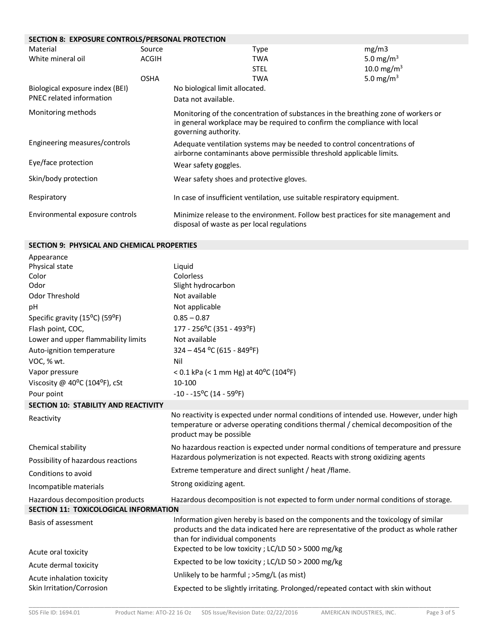### **SECTION 8: EXPOSURE CONTROLS/PERSONAL PROTECTION**

| Material                        | Source      | Type                                                                                                                                                                                   | mg/m3                  |
|---------------------------------|-------------|----------------------------------------------------------------------------------------------------------------------------------------------------------------------------------------|------------------------|
| White mineral oil               | ACGIH       | <b>TWA</b>                                                                                                                                                                             | 5.0 mg/m <sup>3</sup>  |
|                                 |             | <b>STEL</b>                                                                                                                                                                            | 10.0 mg/m <sup>3</sup> |
|                                 | <b>OSHA</b> | <b>TWA</b>                                                                                                                                                                             | 5.0 mg/m <sup>3</sup>  |
| Biological exposure index (BEI) |             | No biological limit allocated.                                                                                                                                                         |                        |
| <b>PNEC related information</b> |             | Data not available.                                                                                                                                                                    |                        |
| Monitoring methods              |             | Monitoring of the concentration of substances in the breathing zone of workers or<br>in general workplace may be required to confirm the compliance with local<br>governing authority. |                        |
| Engineering measures/controls   |             | Adequate ventilation systems may be needed to control concentrations of<br>airborne contaminants above permissible threshold applicable limits.                                        |                        |
| Eye/face protection             |             | Wear safety goggles.                                                                                                                                                                   |                        |
| Skin/body protection            |             | Wear safety shoes and protective gloves.                                                                                                                                               |                        |
| Respiratory                     |             | In case of insufficient ventilation, use suitable respiratory equipment.                                                                                                               |                        |
| Environmental exposure controls |             | Minimize release to the environment. Follow best practices for site management and<br>disposal of waste as per local regulations                                                       |                        |

# **SECTION 9: PHYSICAL AND CHEMICAL PROPERTIES**

| Appearance                            |                                                                                                                                                                                                               |
|---------------------------------------|---------------------------------------------------------------------------------------------------------------------------------------------------------------------------------------------------------------|
| Physical state                        | Liquid                                                                                                                                                                                                        |
| Color                                 | Colorless                                                                                                                                                                                                     |
| Odor                                  | Slight hydrocarbon                                                                                                                                                                                            |
| Odor Threshold                        | Not available                                                                                                                                                                                                 |
| рH                                    | Not applicable                                                                                                                                                                                                |
| Specific gravity (15°C) (59°F)        | $0.85 - 0.87$                                                                                                                                                                                                 |
| Flash point, COC,                     | 177 - 256°C (351 - 493°F)                                                                                                                                                                                     |
| Lower and upper flammability limits   | Not available                                                                                                                                                                                                 |
| Auto-ignition temperature             | $324 - 454$ °C (615 - 849°F)                                                                                                                                                                                  |
| VOC, % wt.                            | Nil                                                                                                                                                                                                           |
| Vapor pressure                        | < 0.1 kPa (< 1 mm Hg) at 40°C (104°F)                                                                                                                                                                         |
| Viscosity @ 40°C (104°F), cSt         | 10-100                                                                                                                                                                                                        |
| Pour point                            | $-10 - 15^{\circ}C (14 - 59^{\circ}F)$                                                                                                                                                                        |
| SECTION 10: STABILITY AND REACTIVITY  |                                                                                                                                                                                                               |
| Reactivity                            | No reactivity is expected under normal conditions of intended use. However, under high<br>temperature or adverse operating conditions thermal / chemical decomposition of the<br>product may be possible      |
| Chemical stability                    | No hazardous reaction is expected under normal conditions of temperature and pressure                                                                                                                         |
| Possibility of hazardous reactions    | Hazardous polymerization is not expected. Reacts with strong oxidizing agents                                                                                                                                 |
| Conditions to avoid                   | Extreme temperature and direct sunlight / heat / flame.                                                                                                                                                       |
| Incompatible materials                | Strong oxidizing agent.                                                                                                                                                                                       |
| Hazardous decomposition products      | Hazardous decomposition is not expected to form under normal conditions of storage.                                                                                                                           |
| SECTION 11: TOXICOLOGICAL INFORMATION |                                                                                                                                                                                                               |
| Basis of assessment                   | Information given hereby is based on the components and the toxicology of similar<br>products and the data indicated here are representative of the product as whole rather<br>than for individual components |
| Acute oral toxicity                   | Expected to be low toxicity ; LC/LD 50 > 5000 mg/kg                                                                                                                                                           |
| Acute dermal toxicity                 | Expected to be low toxicity ; LC/LD 50 > 2000 mg/kg                                                                                                                                                           |
| Acute inhalation toxicity             | Unlikely to be harmful; >5mg/L (as mist)                                                                                                                                                                      |
| Skin Irritation/Corrosion             | Expected to be slightly irritating. Prolonged/repeated contact with skin without                                                                                                                              |

\_\_\_\_\_\_\_\_\_\_\_\_\_\_\_\_\_\_\_\_\_\_\_\_\_\_\_\_\_\_\_\_\_\_\_\_\_\_\_\_\_\_\_\_\_\_\_\_\_\_\_\_\_\_\_\_\_\_\_\_\_\_\_\_\_\_\_\_\_\_\_\_\_\_\_\_\_\_\_\_\_\_\_\_\_\_\_\_\_\_\_\_\_\_\_\_\_\_\_\_\_\_\_\_\_\_\_\_\_\_\_\_\_\_\_\_\_\_\_\_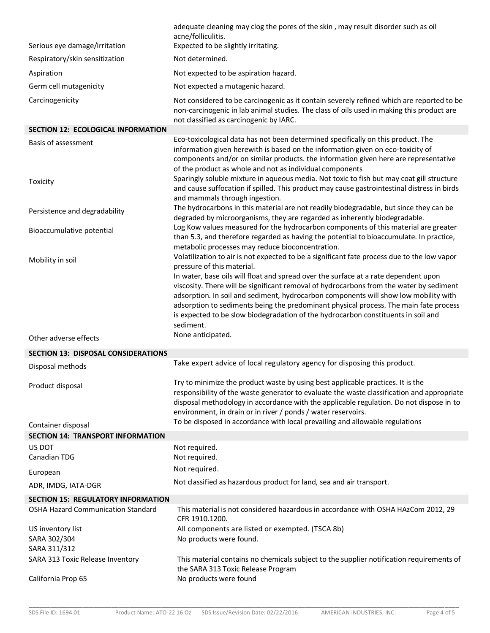|                                            | adequate cleaning may clog the pores of the skin, may result disorder such as oil<br>acne/folliculitis.                                                                                                                                                                                                                                                                                                              |
|--------------------------------------------|----------------------------------------------------------------------------------------------------------------------------------------------------------------------------------------------------------------------------------------------------------------------------------------------------------------------------------------------------------------------------------------------------------------------|
| Serious eye damage/irritation              | Expected to be slightly irritating.                                                                                                                                                                                                                                                                                                                                                                                  |
| Respiratory/skin sensitization             | Not determined.                                                                                                                                                                                                                                                                                                                                                                                                      |
| Aspiration                                 | Not expected to be aspiration hazard.                                                                                                                                                                                                                                                                                                                                                                                |
| Germ cell mutagenicity                     | Not expected a mutagenic hazard.                                                                                                                                                                                                                                                                                                                                                                                     |
| Carcinogenicity                            | Not considered to be carcinogenic as it contain severely refined which are reported to be<br>non-carcinogenic in lab animal studies. The class of oils used in making this product are<br>not classified as carcinogenic by IARC.                                                                                                                                                                                    |
| <b>SECTION 12: ECOLOGICAL INFORMATION</b>  |                                                                                                                                                                                                                                                                                                                                                                                                                      |
| Basis of assessment                        | Eco-toxicological data has not been determined specifically on this product. The<br>information given herewith is based on the information given on eco-toxicity of<br>components and/or on similar products. the information given here are representative<br>of the product as whole and not as individual components<br>Sparingly soluble mixture in aqueous media. Not toxic to fish but may coat gill structure |
| Toxicity                                   | and cause suffocation if spilled. This product may cause gastrointestinal distress in birds<br>and mammals through ingestion.                                                                                                                                                                                                                                                                                        |
| Persistence and degradability              | The hydrocarbons in this material are not readily biodegradable, but since they can be<br>degraded by microorganisms, they are regarded as inherently biodegradable.                                                                                                                                                                                                                                                 |
| Bioaccumulative potential                  | Log Kow values measured for the hydrocarbon components of this material are greater<br>than 5.3, and therefore regarded as having the potential to bioaccumulate. In practice,<br>metabolic processes may reduce bioconcentration.                                                                                                                                                                                   |
| Mobility in soil                           | Volatilization to air is not expected to be a significant fate process due to the low vapor                                                                                                                                                                                                                                                                                                                          |
|                                            | pressure of this material.<br>In water, base oils will float and spread over the surface at a rate dependent upon                                                                                                                                                                                                                                                                                                    |
|                                            | viscosity. There will be significant removal of hydrocarbons from the water by sediment<br>adsorption. In soil and sediment, hydrocarbon components will show low mobility with                                                                                                                                                                                                                                      |
|                                            | adsorption to sediments being the predominant physical process. The main fate process<br>is expected to be slow biodegradation of the hydrocarbon constituents in soil and<br>sediment.                                                                                                                                                                                                                              |
| Other adverse effects                      | None anticipated.                                                                                                                                                                                                                                                                                                                                                                                                    |
| <b>SECTION 13: DISPOSAL CONSIDERATIONS</b> |                                                                                                                                                                                                                                                                                                                                                                                                                      |
| Disposal methods                           | Take expert advice of local regulatory agency for disposing this product.                                                                                                                                                                                                                                                                                                                                            |
| Product disposal                           | Try to minimize the product waste by using best applicable practices. It is the<br>responsibility of the waste generator to evaluate the waste classification and appropriate<br>disposal methodology in accordance with the applicable regulation. Do not dispose in to<br>environment, in drain or in river / ponds / water reservoirs.                                                                            |
| Container disposal                         | To be disposed in accordance with local prevailing and allowable regulations                                                                                                                                                                                                                                                                                                                                         |
| <b>SECTION 14: TRANSPORT INFORMATION</b>   |                                                                                                                                                                                                                                                                                                                                                                                                                      |
| US DOT                                     | Not required.                                                                                                                                                                                                                                                                                                                                                                                                        |
| Canadian TDG                               | Not required.<br>Not required.                                                                                                                                                                                                                                                                                                                                                                                       |
| European                                   | Not classified as hazardous product for land, sea and air transport.                                                                                                                                                                                                                                                                                                                                                 |
| ADR, IMDG, IATA-DGR                        |                                                                                                                                                                                                                                                                                                                                                                                                                      |
| <b>SECTION 15: REGULATORY INFORMATION</b>  |                                                                                                                                                                                                                                                                                                                                                                                                                      |
| <b>OSHA Hazard Communication Standard</b>  | This material is not considered hazardous in accordance with OSHA HAzCom 2012, 29<br>CFR 1910.1200.                                                                                                                                                                                                                                                                                                                  |
| US inventory list                          | All components are listed or exempted. (TSCA 8b)                                                                                                                                                                                                                                                                                                                                                                     |
| SARA 302/304<br>SARA 311/312               | No products were found.                                                                                                                                                                                                                                                                                                                                                                                              |
| SARA 313 Toxic Release Inventory           | This material contains no chemicals subject to the supplier notification requirements of                                                                                                                                                                                                                                                                                                                             |
|                                            | the SARA 313 Toxic Release Program                                                                                                                                                                                                                                                                                                                                                                                   |